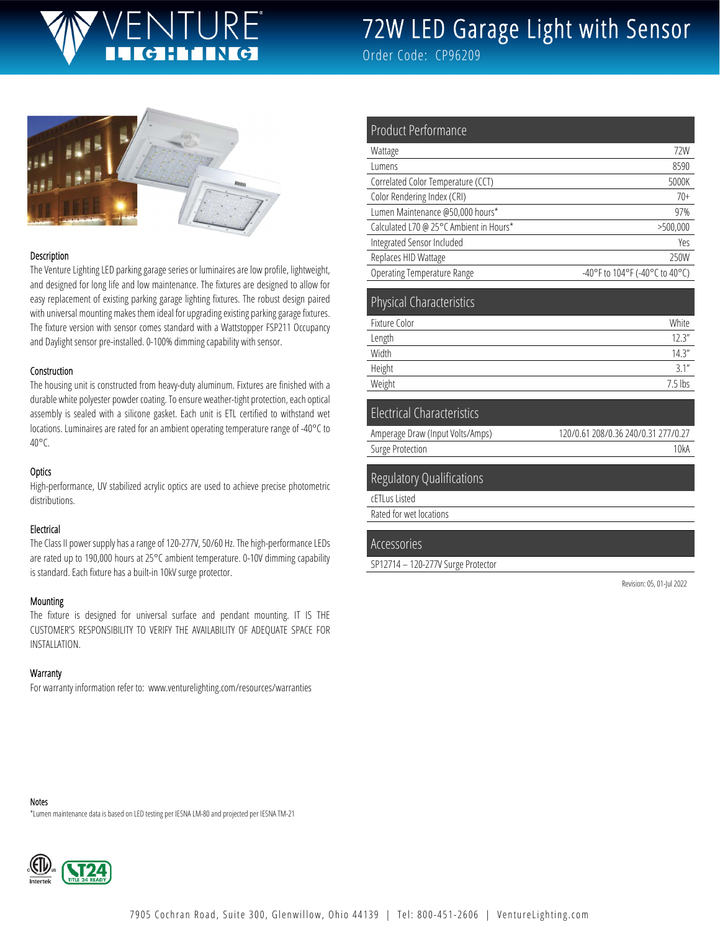# JRF'

# 72W LED Garage Light with Sensor

Order Code: CP96209



#### Description

The Venture Lighting LED parking garage series or luminaires are low profile, lightweight, and designed for long life and low maintenance. The fixtures are designed to allow for easy replacement of existing parking garage lighting fixtures. The robust design paired with universal mounting makes them ideal for upgrading existing parking garage fixtures. The fixture version with sensor comes standard with a Wattstopper FSP211 Occupancy and Daylight sensor pre-installed. 0-100% dimming capability with sensor.

#### Construction

The housing unit is constructed from heavy-duty aluminum. Fixtures are finished with a durable white polyester powder coating. To ensure weather-tight protection, each optical assembly is sealed with a silicone gasket. Each unit is ETL certified to withstand wet locations. Luminaires are rated for an ambient operating temperature range of -40°C to 40°C.

#### **Optics**

High-performance, UV stabilized acrylic optics are used to achieve precise photometric distributions.

#### Electrical

The Class II power supply has a range of 120-277V, 50/60 Hz. The high-performance LEDs are rated up to 190,000 hours at 25°C ambient temperature. 0-10V dimming capability is standard. Each fixture has a built-in 10kV surge protector.

#### Mounting

The fixture is designed for universal surface and pendant mounting. IT IS THE CUSTOMER'S RESPONSIBILITY TO VERIFY THE AVAILABILITY OF ADEQUATE SPACE FOR INSTALLATION.

#### **Warranty**

For warranty information refer to: www.venturelighting.com/resources/warranties

| <b>Product Performance</b>              |                                     |
|-----------------------------------------|-------------------------------------|
| Wattage                                 | 72W                                 |
| Lumens                                  | 8590                                |
| Correlated Color Temperature (CCT)      | 5000K                               |
| Color Rendering Index (CRI)             | $70+$                               |
| Lumen Maintenance @50,000 hours*        | 97%                                 |
| Calculated L70 @ 25°C Ambient in Hours* | >500,000                            |
| Integrated Sensor Included              | Yes                                 |
| Replaces HID Wattage                    | 250W                                |
| <b>Operating Temperature Range</b>      | -40°F to 104°F (-40°C to 40°C)      |
| <b>Physical Characteristics</b>         |                                     |
| Fixture Color                           | White                               |
| Length                                  | 12.3''                              |
| Width                                   | 14.3''                              |
| Height                                  | 3.1''                               |
| Weight                                  | $7.5$ lbs                           |
| <b>Electrical Characteristics</b>       |                                     |
| Amperage Draw (Input Volts/Amps)        | 120/0.61 208/0.36 240/0.31 277/0.27 |

Surge Protection 10kA

#### Regulatory Qualifications

cETLus Listed

Rated for wet locations

#### Accessories

SP12714 – 120-277V Surge Protector

Revision: 05, 01-Jul 2022

Notes

\*Lumen maintenance data is based on LED testing per IESNA LM-80 and projected per IESNA TM-21